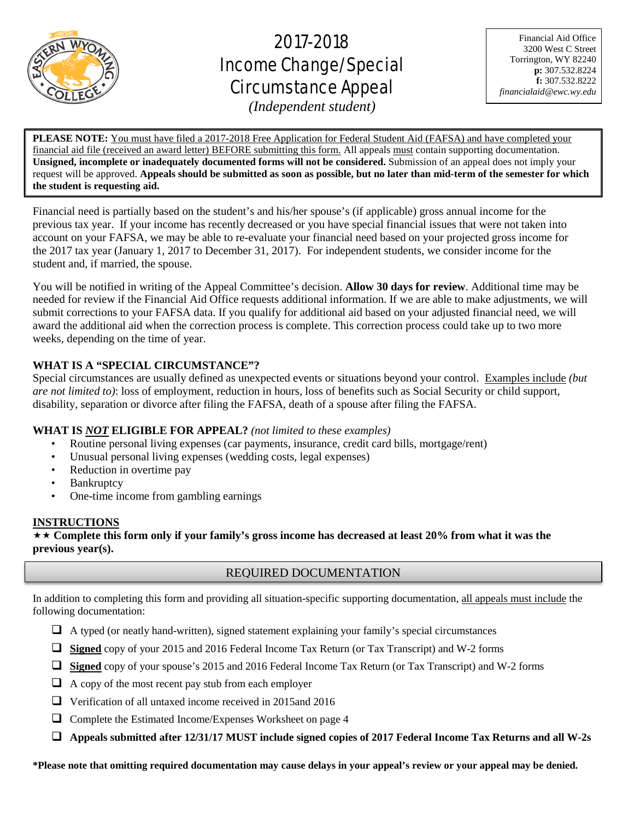

# 2017-2018 Income Change/Special Circumstance Appeal

Financial Aid Office 3200 West C Street Torrington, WY 82240 **p:** 307.532.8224 **f:** 307.532.8222 *financialaid@ewc.wy.edu*

*(Independent student)*

֦ **PLEASE NOTE:** You must have filed a 2017-2018 Free Application for Federal Student Aid (FAFSA) and have completed your financial aid file (received an award letter) BEFORE submitting this form. All appeals must contain supporting documentation. **Unsigned, incomplete or inadequately documented forms will not be considered.** Submission of an appeal does not imply your request will be approved. **Appeals should be submitted as soon as possible, but no later than mid-term of the semester for which the student is requesting aid.**

Financial need is partially based on the student's and his/her spouse's (if applicable) gross annual income for the previous tax year. If your income has recently decreased or you have special financial issues that were not taken into account on your FAFSA, we may be able to re-evaluate your financial need based on your projected gross income for the 2017 tax year (January 1, 2017 to December 31, 2017). For independent students, we consider income for the student and, if married, the spouse.

You will be notified in writing of the Appeal Committee's decision. **Allow 30 days for review**. Additional time may be needed for review if the Financial Aid Office requests additional information. If we are able to make adjustments, we will submit corrections to your FAFSA data. If you qualify for additional aid based on your adjusted financial need, we will award the additional aid when the correction process is complete. This correction process could take up to two more weeks, depending on the time of year.

# **WHAT IS A "SPECIAL CIRCUMSTANCE"?**

Special circumstances are usually defined as unexpected events or situations beyond your control. Examples include *(but are not limited to)*: loss of employment, reduction in hours, loss of benefits such as Social Security or child support, disability, separation or divorce after filing the FAFSA, death of a spouse after filing the FAFSA.

# **WHAT IS** *NOT* **ELIGIBLE FOR APPEAL?** *(not limited to these examples)*

- Routine personal living expenses (car payments, insurance, credit card bills, mortgage/rent)
- Unusual personal living expenses (wedding costs, legal expenses)
- Reduction in overtime pay
- Bankruptcy
- One-time income from gambling earnings

# **INSTRUCTIONS**

 **Complete this form only if your family's gross income has decreased at least 20% from what it was the previous year(s).**

# REQUIRED DOCUMENTATION

In addition to completing this form and providing all situation-specific supporting documentation, all appeals must include the following documentation:

- $\Box$  A typed (or neatly hand-written), signed statement explaining your family's special circumstances
- **Signed** copy of your 2015 and 2016 Federal Income Tax Return (or Tax Transcript) and W-2 forms
- **Signed** copy of your spouse's 2015 and 2016 Federal Income Tax Return (or Tax Transcript) and W-2 forms
- $\Box$  A copy of the most recent pay stub from each employer
- Verification of all untaxed income received in 2015and 2016
- $\Box$  Complete the Estimated Income/Expenses Worksheet on page 4
- **Appeals submitted after 12/31/17 MUST include signed copies of 2017 Federal Income Tax Returns and all W-2s**

**\*Please note that omitting required documentation may cause delays in your appeal's review or your appeal may be denied.**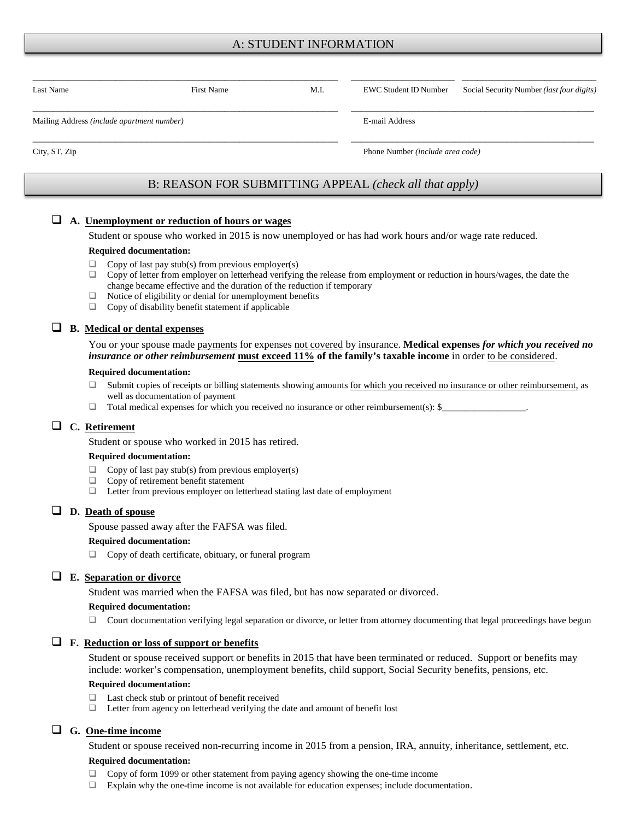# A: STUDENT INFORMATION

| Last Name                                  | <b>First Name</b>                                      | M.I. | <b>EWC Student ID Number</b>     | Social Security Number (last four digits) |  |
|--------------------------------------------|--------------------------------------------------------|------|----------------------------------|-------------------------------------------|--|
| Mailing Address (include apartment number) |                                                        |      | E-mail Address                   |                                           |  |
| City, ST, Zip                              |                                                        |      | Phone Number (include area code) |                                           |  |
|                                            | B: REASON FOR SUBMITTING APPEAL (check all that apply) |      |                                  |                                           |  |

#### **A. Unemployment or reduction of hours or wages**

Student or spouse who worked in 2015 is now unemployed or has had work hours and/or wage rate reduced.

#### **Required documentation:**

- $\Box$  Copy of last pay stub(s) from previous employer(s)
- $\Box$  Copy of letter from employer on letterhead verifying the release from employment or reduction in hours/wages, the date the change became effective and the duration of the reduction if temporary
- $\Box$  Notice of eligibility or denial for unemployment benefits
- Copy of disability benefit statement if applicable

## **B. Medical or dental expenses**

You or your spouse made **payments** for expenses not covered by insurance. **Medical expenses** *for which you received no insurance or other reimbursement* **must exceed 11% of the family's taxable income** in order to be considered.

#### **Required documentation:**

- $\Box$  Submit copies of receipts or billing statements showing amounts for which you received no insurance or other reimbursement, as well as documentation of payment
- $\Box$  Total medical expenses for which you received no insurance or other reimbursement(s): \$

## **C. Retirement**

Student or spouse who worked in 2015 has retired.

#### **Required documentation:**

- $\Box$  Copy of last pay stub(s) from previous employer(s)
- $\Box$  Copy of retirement benefit statement
- $\Box$  Letter from previous employer on letterhead stating last date of employment

# **D. Death of spouse**

Spouse passed away after the FAFSA was filed.

#### **Required documentation:**

 $\Box$  Copy of death certificate, obituary, or funeral program

## **E. Separation or divorce**

Student was married when the FAFSA was filed, but has now separated or divorced.

#### **Required documentation:**

 $\Box$  Court documentation verifying legal separation or divorce, or letter from attorney documenting that legal proceedings have begun

## **F. Reduction or loss of support or benefits**

Student or spouse received support or benefits in 2015 that have been terminated or reduced. Support or benefits may include: worker's compensation, unemployment benefits, child support, Social Security benefits, pensions, etc.

#### **Required documentation:**

- □ Last check stub or printout of benefit received
- $\Box$  Letter from agency on letterhead verifying the date and amount of benefit lost

## **G. One-time income**

Student or spouse received non-recurring income in 2015 from a pension, IRA, annuity, inheritance, settlement, etc.

#### **Required documentation:**

- Copy of form 1099 or other statement from paying agency showing the one-time income
- Explain why the one-time income is not available for education expenses; include documentation.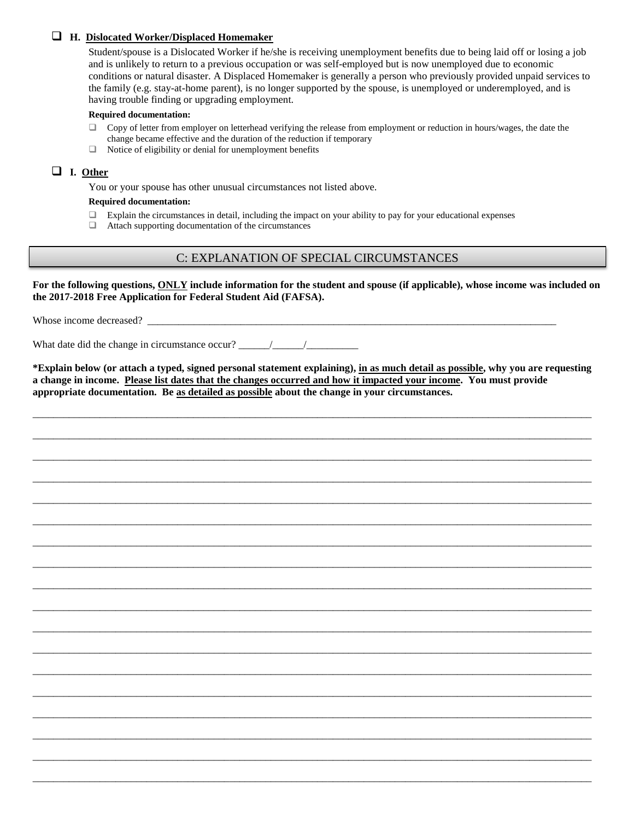## **H. Dislocated Worker/Displaced Homemaker**

Student/spouse is a Dislocated Worker if he/she is receiving unemployment benefits due to being laid off or losing a job and is unlikely to return to a previous occupation or was self-employed but is now unemployed due to economic conditions or natural disaster. A Displaced Homemaker is generally a person who previously provided unpaid services to the family (e.g. stay-at-home parent), is no longer supported by the spouse, is unemployed or underemployed, and is having trouble finding or upgrading employment.

#### **Required documentation:**

- $\Box$  Copy of letter from employer on letterhead verifying the release from employment or reduction in hours/wages, the date the change became effective and the duration of the reduction if temporary
- $\Box$  Notice of eligibility or denial for unemployment benefits

# **I. Other**

You or your spouse has other unusual circumstances not listed above.

#### **Required documentation:**

- $\Box$  Explain the circumstances in detail, including the impact on your ability to pay for your educational expenses
- Attach supporting documentation of the circumstances

# C: EXPLANATION OF SPECIAL CIRCUMSTANCES

**For the following questions, ONLY include information for the student and spouse (if applicable), whose income was included on the 2017-2018 Free Application for Federal Student Aid (FAFSA).**

Whose income decreased?

What date did the change in circumstance occur?  $\frac{\frac{1}{2}}{\frac{1}{2}}$ 

**\*Explain below (or attach a typed, signed personal statement explaining), in as much detail as possible, why you are requesting a change in income. Please list dates that the changes occurred and how it impacted your income. You must provide appropriate documentation. Be as detailed as possible about the change in your circumstances.** 

\_\_\_\_\_\_\_\_\_\_\_\_\_\_\_\_\_\_\_\_\_\_\_\_\_\_\_\_\_\_\_\_\_\_\_\_\_\_\_\_\_\_\_\_\_\_\_\_\_\_\_\_\_\_\_\_\_\_\_\_\_\_\_\_\_\_\_\_\_\_\_\_\_\_\_\_\_\_\_\_\_\_\_\_\_\_\_\_\_\_\_\_\_\_\_\_\_\_\_\_\_\_\_\_\_\_\_\_

\_\_\_\_\_\_\_\_\_\_\_\_\_\_\_\_\_\_\_\_\_\_\_\_\_\_\_\_\_\_\_\_\_\_\_\_\_\_\_\_\_\_\_\_\_\_\_\_\_\_\_\_\_\_\_\_\_\_\_\_\_\_\_\_\_\_\_\_\_\_\_\_\_\_\_\_\_\_\_\_\_\_\_\_\_\_\_\_\_\_\_\_\_\_\_\_\_\_\_\_\_\_\_\_\_\_\_\_

\_\_\_\_\_\_\_\_\_\_\_\_\_\_\_\_\_\_\_\_\_\_\_\_\_\_\_\_\_\_\_\_\_\_\_\_\_\_\_\_\_\_\_\_\_\_\_\_\_\_\_\_\_\_\_\_\_\_\_\_\_\_\_\_\_\_\_\_\_\_\_\_\_\_\_\_\_\_\_\_\_\_\_\_\_\_\_\_\_\_\_\_\_\_\_\_\_\_\_\_\_\_\_\_\_\_\_\_

\_\_\_\_\_\_\_\_\_\_\_\_\_\_\_\_\_\_\_\_\_\_\_\_\_\_\_\_\_\_\_\_\_\_\_\_\_\_\_\_\_\_\_\_\_\_\_\_\_\_\_\_\_\_\_\_\_\_\_\_\_\_\_\_\_\_\_\_\_\_\_\_\_\_\_\_\_\_\_\_\_\_\_\_\_\_\_\_\_\_\_\_\_\_\_\_\_\_\_\_\_\_\_\_\_\_\_\_

\_\_\_\_\_\_\_\_\_\_\_\_\_\_\_\_\_\_\_\_\_\_\_\_\_\_\_\_\_\_\_\_\_\_\_\_\_\_\_\_\_\_\_\_\_\_\_\_\_\_\_\_\_\_\_\_\_\_\_\_\_\_\_\_\_\_\_\_\_\_\_\_\_\_\_\_\_\_\_\_\_\_\_\_\_\_\_\_\_\_\_\_\_\_\_\_\_\_\_\_\_\_\_\_\_\_\_\_

\_\_\_\_\_\_\_\_\_\_\_\_\_\_\_\_\_\_\_\_\_\_\_\_\_\_\_\_\_\_\_\_\_\_\_\_\_\_\_\_\_\_\_\_\_\_\_\_\_\_\_\_\_\_\_\_\_\_\_\_\_\_\_\_\_\_\_\_\_\_\_\_\_\_\_\_\_\_\_\_\_\_\_\_\_\_\_\_\_\_\_\_\_\_\_\_\_\_\_\_\_\_\_\_\_\_\_\_

\_\_\_\_\_\_\_\_\_\_\_\_\_\_\_\_\_\_\_\_\_\_\_\_\_\_\_\_\_\_\_\_\_\_\_\_\_\_\_\_\_\_\_\_\_\_\_\_\_\_\_\_\_\_\_\_\_\_\_\_\_\_\_\_\_\_\_\_\_\_\_\_\_\_\_\_\_\_\_\_\_\_\_\_\_\_\_\_\_\_\_\_\_\_\_\_\_\_\_\_\_\_\_\_\_\_\_\_

\_\_\_\_\_\_\_\_\_\_\_\_\_\_\_\_\_\_\_\_\_\_\_\_\_\_\_\_\_\_\_\_\_\_\_\_\_\_\_\_\_\_\_\_\_\_\_\_\_\_\_\_\_\_\_\_\_\_\_\_\_\_\_\_\_\_\_\_\_\_\_\_\_\_\_\_\_\_\_\_\_\_\_\_\_\_\_\_\_\_\_\_\_\_\_\_\_\_\_\_\_\_\_\_\_\_\_\_

\_\_\_\_\_\_\_\_\_\_\_\_\_\_\_\_\_\_\_\_\_\_\_\_\_\_\_\_\_\_\_\_\_\_\_\_\_\_\_\_\_\_\_\_\_\_\_\_\_\_\_\_\_\_\_\_\_\_\_\_\_\_\_\_\_\_\_\_\_\_\_\_\_\_\_\_\_\_\_\_\_\_\_\_\_\_\_\_\_\_\_\_\_\_\_\_\_\_\_\_\_\_\_\_\_\_\_\_

\_\_\_\_\_\_\_\_\_\_\_\_\_\_\_\_\_\_\_\_\_\_\_\_\_\_\_\_\_\_\_\_\_\_\_\_\_\_\_\_\_\_\_\_\_\_\_\_\_\_\_\_\_\_\_\_\_\_\_\_\_\_\_\_\_\_\_\_\_\_\_\_\_\_\_\_\_\_\_\_\_\_\_\_\_\_\_\_\_\_\_\_\_\_\_\_\_\_\_\_\_\_\_\_\_\_\_\_

\_\_\_\_\_\_\_\_\_\_\_\_\_\_\_\_\_\_\_\_\_\_\_\_\_\_\_\_\_\_\_\_\_\_\_\_\_\_\_\_\_\_\_\_\_\_\_\_\_\_\_\_\_\_\_\_\_\_\_\_\_\_\_\_\_\_\_\_\_\_\_\_\_\_\_\_\_\_\_\_\_\_\_\_\_\_\_\_\_\_\_\_\_\_\_\_\_\_\_\_\_\_\_\_\_\_\_\_

\_\_\_\_\_\_\_\_\_\_\_\_\_\_\_\_\_\_\_\_\_\_\_\_\_\_\_\_\_\_\_\_\_\_\_\_\_\_\_\_\_\_\_\_\_\_\_\_\_\_\_\_\_\_\_\_\_\_\_\_\_\_\_\_\_\_\_\_\_\_\_\_\_\_\_\_\_\_\_\_\_\_\_\_\_\_\_\_\_\_\_\_\_\_\_\_\_\_\_\_\_\_\_\_\_\_\_\_

\_\_\_\_\_\_\_\_\_\_\_\_\_\_\_\_\_\_\_\_\_\_\_\_\_\_\_\_\_\_\_\_\_\_\_\_\_\_\_\_\_\_\_\_\_\_\_\_\_\_\_\_\_\_\_\_\_\_\_\_\_\_\_\_\_\_\_\_\_\_\_\_\_\_\_\_\_\_\_\_\_\_\_\_\_\_\_\_\_\_\_\_\_\_\_\_\_\_\_\_\_\_\_\_\_\_\_\_

\_\_\_\_\_\_\_\_\_\_\_\_\_\_\_\_\_\_\_\_\_\_\_\_\_\_\_\_\_\_\_\_\_\_\_\_\_\_\_\_\_\_\_\_\_\_\_\_\_\_\_\_\_\_\_\_\_\_\_\_\_\_\_\_\_\_\_\_\_\_\_\_\_\_\_\_\_\_\_\_\_\_\_\_\_\_\_\_\_\_\_\_\_\_\_\_\_\_\_\_\_\_\_\_\_\_\_\_

\_\_\_\_\_\_\_\_\_\_\_\_\_\_\_\_\_\_\_\_\_\_\_\_\_\_\_\_\_\_\_\_\_\_\_\_\_\_\_\_\_\_\_\_\_\_\_\_\_\_\_\_\_\_\_\_\_\_\_\_\_\_\_\_\_\_\_\_\_\_\_\_\_\_\_\_\_\_\_\_\_\_\_\_\_\_\_\_\_\_\_\_\_\_\_\_\_\_\_\_\_\_\_\_\_\_\_\_

\_\_\_\_\_\_\_\_\_\_\_\_\_\_\_\_\_\_\_\_\_\_\_\_\_\_\_\_\_\_\_\_\_\_\_\_\_\_\_\_\_\_\_\_\_\_\_\_\_\_\_\_\_\_\_\_\_\_\_\_\_\_\_\_\_\_\_\_\_\_\_\_\_\_\_\_\_\_\_\_\_\_\_\_\_\_\_\_\_\_\_\_\_\_\_\_\_\_\_\_\_\_\_\_\_\_\_\_

\_\_\_\_\_\_\_\_\_\_\_\_\_\_\_\_\_\_\_\_\_\_\_\_\_\_\_\_\_\_\_\_\_\_\_\_\_\_\_\_\_\_\_\_\_\_\_\_\_\_\_\_\_\_\_\_\_\_\_\_\_\_\_\_\_\_\_\_\_\_\_\_\_\_\_\_\_\_\_\_\_\_\_\_\_\_\_\_\_\_\_\_\_\_\_\_\_\_\_\_\_\_\_\_\_\_\_\_

\_\_\_\_\_\_\_\_\_\_\_\_\_\_\_\_\_\_\_\_\_\_\_\_\_\_\_\_\_\_\_\_\_\_\_\_\_\_\_\_\_\_\_\_\_\_\_\_\_\_\_\_\_\_\_\_\_\_\_\_\_\_\_\_\_\_\_\_\_\_\_\_\_\_\_\_\_\_\_\_\_\_\_\_\_\_\_\_\_\_\_\_\_\_\_\_\_\_\_\_\_\_\_\_\_\_\_\_